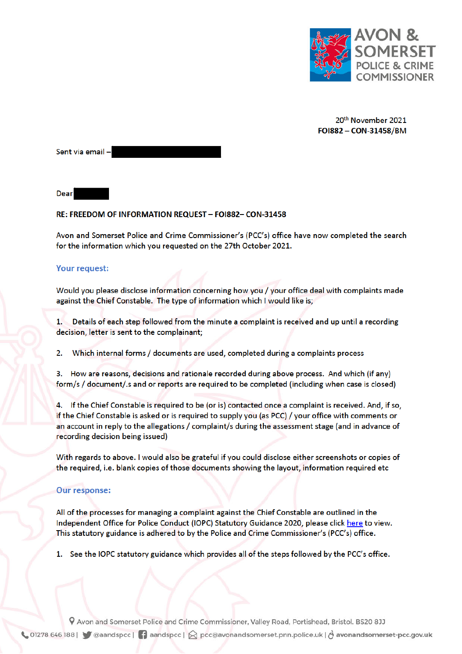

20th November 2021 FOI882 - CON-31458/BM

Sent via email-

**Dear** 

## RE: FREEDOM OF INFORMATION REQUEST - FOI882- CON-31458

Avon and Somerset Police and Crime Commissioner's (PCC's) office have now completed the search for the information which you requested on the 27th October 2021.

## **Your request:**

Would you please disclose information concerning how you / your office deal with complaints made against the Chief Constable. The type of information which I would like is;

Details of each step followed from the minute a complaint is received and up until a recording  $1.$ decision, letter is sent to the complainant;

Which internal forms / documents are used, completed during a complaints process 2.

3. How are reasons, decisions and rationale recorded during above process. And which (if any) form/s / document/.s and or reports are required to be completed (including when case is closed)

4. If the Chief Constable is required to be (or is) contacted once a complaint is received. And, if so, if the Chief Constable is asked or is required to supply you (as PCC) / your office with comments or an account in reply to the allegations / complaint/s during the assessment stage (and in advance of recording decision being issued)

With regards to above. I would also be grateful if you could disclose either screenshots or copies of the required, i.e. blank copies of those documents showing the layout, information required etc

## **Our response:**

All of the processes for managing a complaint against the Chief Constable are outlined in the Independent Office for Police Conduct (IOPC) Statutory Guidance 2020, please click here to view. This statutory guidance is adhered to by the Police and Crime Commissioner's (PCC's) office.

1. See the IOPC statutory guidance which provides all of the steps followed by the PCC's office.

9 Avon and Somerset Police and Crime Commissioner, Valley Road, Portishead, Bristol. BS20 8JJ ↓ 01278 646 188 | ● @aandspcc | ● aandspcc | △ pcc@avonandsomerset.pnn.police.uk | ∂ avonandsomerset-pcc.gov.uk